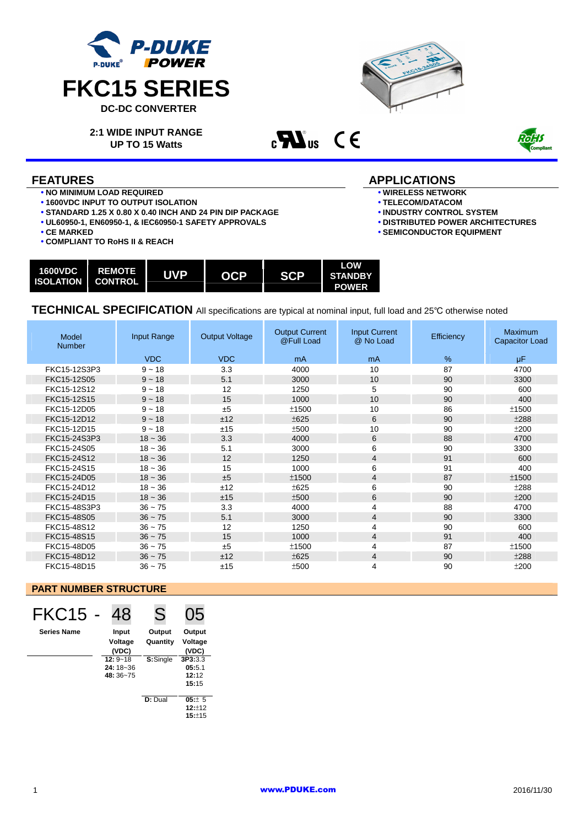



**2:1 WIDE INPUT RANGE UP TO 15 Watts** 

 $c$ **N**<sub>us</sub>  $C \in$ 



- **NO MINIMUM LOAD REQUIRED**
- **1600VDC INPUT TO OUTPUT ISOLATION**
- **STANDARD 1.25 X 0.80 X 0.40 INCH AND 24 PIN DIP PACKAGE**
- **UL60950-1, EN60950-1, & IEC60950-1 SAFETY APPROVALS**
- **CE MARKED**
- **COMPLIANT TO RoHS II & REACH**

# **FEATURES** APPLICATIONS

- **WIRELESS NETWORK**
- **TELECOM/DATACOM**
- **INDUSTRY CONTROL SYSTEM**
- **DISTRIBUTED POWER ARCHITECTURES**
- **SEMICONDUCTOR EQUIPMENT**

| <b>1600VDC</b> | <b>REMOTE</b><br><b>ISOLATION   CONTROL</b> | <b>UVP</b> | <b>OCP</b> | <b>SCP</b> | LOW<br><b>STANDBY</b><br><b>POWER</b> |
|----------------|---------------------------------------------|------------|------------|------------|---------------------------------------|
|----------------|---------------------------------------------|------------|------------|------------|---------------------------------------|

**TECHNICAL SPECIFICATION** All specifications are typical at nominal input, full load and 25℃ otherwise noted

| Model<br><b>Number</b> | Input Range | <b>Output Voltage</b> | <b>Output Current</b><br>@Full Load | <b>Input Current</b><br>@ No Load | Efficiency | Maximum<br><b>Capacitor Load</b> |
|------------------------|-------------|-----------------------|-------------------------------------|-----------------------------------|------------|----------------------------------|
|                        | <b>VDC</b>  | <b>VDC</b>            | <sub>m</sub> A                      | mA                                | %          | μF                               |
| FKC15-12S3P3           | $9 - 18$    | 3.3                   | 4000                                | 10                                | 87         | 4700                             |
| FKC15-12S05            | $9 - 18$    | 5.1                   | 3000                                | 10                                | 90         | 3300                             |
| FKC15-12S12            | $9 - 18$    | 12                    | 1250                                | 5                                 | 90         | 600                              |
| FKC15-12S15            | $9 - 18$    | 15                    | 1000                                | 10                                | 90         | 400                              |
| FKC15-12D05            | $9 - 18$    | ±5                    | ±1500                               | 10                                | 86         | ±1500                            |
| FKC15-12D12            | $9 - 18$    | ±12                   | ±625                                | 6                                 | 90         | ±288                             |
| FKC15-12D15            | $9 - 18$    | ±15                   | ±500                                | 10                                | 90         | ±200                             |
| FKC15-24S3P3           | $18 - 36$   | 3.3                   | 4000                                | 6                                 | 88         | 4700                             |
| FKC15-24S05            | $18 - 36$   | 5.1                   | 3000                                | 6                                 | 90         | 3300                             |
| FKC15-24S12            | $18 - 36$   | 12                    | 1250                                | 4                                 | 91         | 600                              |
| FKC15-24S15            | $18 - 36$   | 15                    | 1000                                | 6                                 | 91         | 400                              |
| FKC15-24D05            | $18 - 36$   | ±5                    | ±1500                               | 4                                 | 87         | ±1500                            |
| FKC15-24D12            | $18 - 36$   | ±12                   | ±625                                | 6                                 | 90         | ±288                             |
| FKC15-24D15            | $18 - 36$   | ±15                   | ±500                                | 6                                 | 90         | ±200                             |
| FKC15-48S3P3           | $36 - 75$   | 3.3                   | 4000                                | 4                                 | 88         | 4700                             |
| FKC15-48S05            | $36 - 75$   | 5.1                   | 3000                                | 4                                 | 90         | 3300                             |
| FKC15-48S12            | $36 - 75$   | 12                    | 1250                                | 4                                 | 90         | 600                              |
| FKC15-48S15            | $36 - 75$   | 15                    | 1000                                | 4                                 | 91         | 400                              |
| FKC15-48D05            | $36 - 75$   | ±5                    | ±1500                               | 4                                 | 87         | ±1500                            |
| FKC15-48D12            | $36 - 75$   | ±12                   | ±625                                | 4                                 | 90         | ±288                             |
| FKC15-48D15            | $36 - 75$   | ±15                   | ±500                                | 4                                 | 90         | ±200                             |

## **PART NUMBER STRUCTURE**

| FKC15              | 48          | S        | 05      |
|--------------------|-------------|----------|---------|
| <b>Series Name</b> | Input       | Output   | Output  |
|                    | Voltage     | Quantity | Voltage |
|                    | (VDC)       |          | (VDC)   |
|                    | $12:9 - 18$ | S:Single | 3P3:3.3 |
|                    | 24: 18~36   |          | 05:5.1  |
|                    | 48: 36~75   |          | 12:12   |
|                    |             |          | 15:15   |
|                    |             | D: Dual  | 05:± 5  |

 **12:**±12 **15:**±15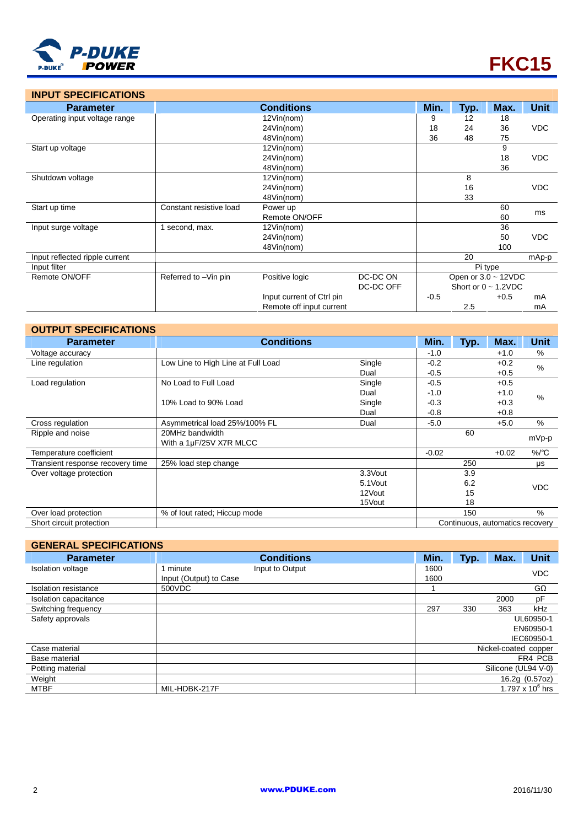

| <b>INPUT SPECIFICATIONS</b>    |                         |                           |           |         |                           |        |             |
|--------------------------------|-------------------------|---------------------------|-----------|---------|---------------------------|--------|-------------|
| <b>Parameter</b>               |                         | <b>Conditions</b>         |           | Min.    | Typ.                      | Max.   | <b>Unit</b> |
| Operating input voltage range  |                         | 12Vin(nom)                |           | 9       | 12                        | 18     |             |
|                                | 24Vin(nom)              |                           |           | 18      | 24                        | 36     | <b>VDC</b>  |
|                                |                         | 48Vin(nom)                |           | 36      | 48                        | 75     |             |
| Start up voltage               |                         | 12Vin(nom)                |           |         |                           | 9      |             |
|                                |                         | 24Vin(nom)                |           |         |                           | 18     | <b>VDC</b>  |
|                                |                         | 48Vin(nom)                |           |         |                           | 36     |             |
| Shutdown voltage               |                         | 12Vin(nom)                |           |         | 8                         |        |             |
|                                |                         | 24Vin(nom)                |           |         | 16                        |        | <b>VDC</b>  |
|                                |                         | 48Vin(nom)                |           |         | 33                        |        |             |
| Start up time                  | Constant resistive load | Power up                  |           |         |                           | 60     | ms          |
|                                |                         | Remote ON/OFF             |           |         |                           | 60     |             |
| Input surge voltage            | 1 second, max.          | 12Vin(nom)                |           |         |                           | 36     |             |
|                                |                         | 24Vin(nom)                |           |         |                           | 50     | <b>VDC</b>  |
|                                |                         | 48Vin(nom)                |           |         |                           | 100    |             |
| Input reflected ripple current |                         |                           |           |         | 20                        |        | mAp-p       |
| Input filter                   |                         |                           |           | Pi type |                           |        |             |
| Remote ON/OFF                  | Referred to -Vin pin    | Positive logic            | DC-DC ON  |         | Open or $3.0 - 12$ VDC    |        |             |
|                                |                         |                           | DC-DC OFF |         | Short or $0 \sim 1.2$ VDC |        |             |
|                                |                         | Input current of Ctrl pin |           | $-0.5$  |                           | $+0.5$ | mA          |
|                                |                         | Remote off input current  |           |         | 2.5                       |        | mA          |

| <b>OUTPUT SPECIFICATIONS</b>     |                                    |          |         |      |                                 |             |  |  |
|----------------------------------|------------------------------------|----------|---------|------|---------------------------------|-------------|--|--|
| <b>Parameter</b>                 | <b>Conditions</b>                  |          |         | Typ. | Max.                            | <b>Unit</b> |  |  |
| Voltage accuracy                 |                                    |          | $-1.0$  |      | $+1.0$                          | %           |  |  |
| Line regulation                  | Low Line to High Line at Full Load | Single   | $-0.2$  |      | $+0.2$                          | %           |  |  |
|                                  |                                    | Dual     | $-0.5$  |      | $+0.5$                          |             |  |  |
| Load regulation                  | No Load to Full Load               | Single   | $-0.5$  |      | $+0.5$                          |             |  |  |
|                                  |                                    | Dual     | $-1.0$  |      | $+1.0$                          | %           |  |  |
|                                  | 10% Load to 90% Load               | Single   | $-0.3$  |      | $+0.3$                          |             |  |  |
|                                  |                                    | Dual     | $-0.8$  |      | $+0.8$                          |             |  |  |
| Cross regulation                 | Asymmetrical load 25%/100% FL      | Dual     | $-5.0$  |      | $+5.0$                          | %           |  |  |
| Ripple and noise                 | 20MHz bandwidth                    |          |         | 60   |                                 |             |  |  |
|                                  | With a 1µF/25V X7R MLCC            |          |         |      |                                 | mVp-p       |  |  |
| Temperature coefficient          |                                    |          | $-0.02$ |      | $+0.02$                         | $\%$ /°C    |  |  |
| Transient response recovery time | 25% load step change               |          |         | 250  |                                 | μs          |  |  |
| Over voltage protection          |                                    | 3.3Vout  |         | 3.9  |                                 |             |  |  |
|                                  |                                    | 5.1 Vout |         | 6.2  |                                 | <b>VDC</b>  |  |  |
|                                  |                                    | 12Vout   |         | 15   |                                 |             |  |  |
|                                  |                                    | 15Vout   |         | 18   |                                 |             |  |  |
| Over load protection             | % of lout rated; Hiccup mode       |          |         | 150  |                                 | %           |  |  |
| Short circuit protection         |                                    |          |         |      | Continuous, automatics recovery |             |  |  |

# **GENERAL SPECIFICATIONS**

| <b>Parameter</b>         |                        | <b>Conditions</b> | Min. | Typ. | Max.                 | <b>Unit</b>        |
|--------------------------|------------------------|-------------------|------|------|----------------------|--------------------|
| <b>Isolation voltage</b> | . minute               | Input to Output   | 1600 |      |                      | <b>VDC</b>         |
|                          | Input (Output) to Case |                   | 1600 |      |                      |                    |
| Isolation resistance     | 500VDC                 |                   |      |      |                      | GΩ                 |
| Isolation capacitance    |                        |                   |      |      | 2000                 | pF                 |
| Switching frequency      |                        |                   | 297  | 330  | 363                  | kHz                |
| Safety approvals         |                        |                   |      |      |                      | UL60950-1          |
|                          |                        |                   |      |      |                      | EN60950-1          |
|                          |                        |                   |      |      |                      | IEC60950-1         |
| Case material            |                        |                   |      |      | Nickel-coated copper |                    |
| Base material            |                        |                   |      |      |                      | FR4 PCB            |
| Potting material         |                        |                   |      |      | Silicone (UL94 V-0)  |                    |
| Weight                   |                        |                   |      |      |                      | 16.2g (0.57oz)     |
| <b>MTBF</b>              | MIL-HDBK-217F          |                   |      |      |                      | 1.797 x $10^6$ hrs |